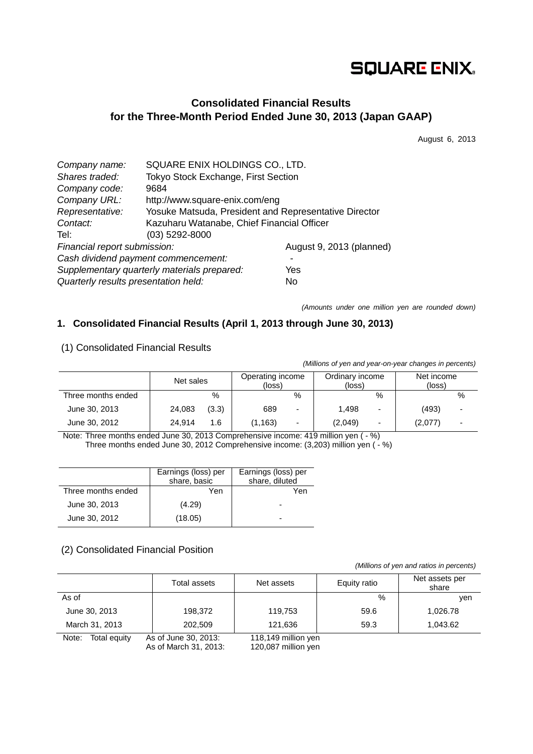# **SQUARE ENIX.**

## **Consolidated Financial Results for the Three-Month Period Ended June 30, 2013 (Japan GAAP)**

August 6, 2013

| Company name:                        | SQUARE ENIX HOLDINGS CO., LTD.                        |                          |  |  |  |
|--------------------------------------|-------------------------------------------------------|--------------------------|--|--|--|
| Shares traded:                       | Tokyo Stock Exchange, First Section                   |                          |  |  |  |
| Company code:                        | 9684                                                  |                          |  |  |  |
| Company URL:                         | http://www.square-enix.com/eng                        |                          |  |  |  |
| Representative:                      | Yosuke Matsuda, President and Representative Director |                          |  |  |  |
| Contact:                             | Kazuharu Watanabe, Chief Financial Officer            |                          |  |  |  |
| Tel:                                 | $(03)$ 5292-8000                                      |                          |  |  |  |
| Financial report submission:         |                                                       | August 9, 2013 (planned) |  |  |  |
|                                      | Cash dividend payment commencement:                   |                          |  |  |  |
|                                      | Supplementary quarterly materials prepared:           | Yes                      |  |  |  |
| Quarterly results presentation held: |                                                       | No                       |  |  |  |

*(Amounts under one million yen are rounded down)*

## **1. Consolidated Financial Results (April 1, 2013 through June 30, 2013)**

## (1) Consolidated Financial Results

*(Millions of yen and year-on-year changes in percents)*

|                    | Net sales |       | Operating income<br>(loss) |                          | Ordinary income<br>(loss) |                          | Net income<br>(loss) |                          |
|--------------------|-----------|-------|----------------------------|--------------------------|---------------------------|--------------------------|----------------------|--------------------------|
| Three months ended |           | %     |                            | %                        |                           | %                        |                      | %                        |
| June 30, 2013      | 24,083    | (3.3) | 689                        | $\overline{\phantom{0}}$ | 1.498                     | $\overline{\phantom{0}}$ | (493)                | $\overline{\phantom{a}}$ |
| June 30, 2012      | 24.914    | 1.6   | (1, 163)                   | $\overline{\phantom{a}}$ | (2,049)                   | $\overline{a}$           | (2,077)              | $\overline{\phantom{0}}$ |

Note: Three months ended June 30, 2013 Comprehensive income: 419 million yen ( - %)

Three months ended June 30, 2012 Comprehensive income: (3,203) million yen (- %)

|                    | Earnings (loss) per<br>share, basic | Earnings (loss) per<br>share, diluted |
|--------------------|-------------------------------------|---------------------------------------|
| Three months ended | Yen                                 | Yen                                   |
| June 30, 2013      | (4.29)                              | -                                     |
| June 30, 2012      | (18.05)                             | $\overline{\phantom{0}}$              |

#### (2) Consolidated Financial Position

*(Millions of yen and ratios in percents)*

|                       | Total assets                                  | Net assets                                 | Equity ratio |          |
|-----------------------|-----------------------------------------------|--------------------------------------------|--------------|----------|
| As of                 |                                               |                                            | $\%$         | ven      |
| June 30, 2013         | 198,372                                       | 119,753                                    | 59.6         | 1,026.78 |
| March 31, 2013        | 202,509                                       | 121.636                                    | 59.3         | 1.043.62 |
| Note:<br>Total equity | As of June 30, 2013:<br>As of March 31, 2013: | 118,149 million yen<br>120,087 million yen |              |          |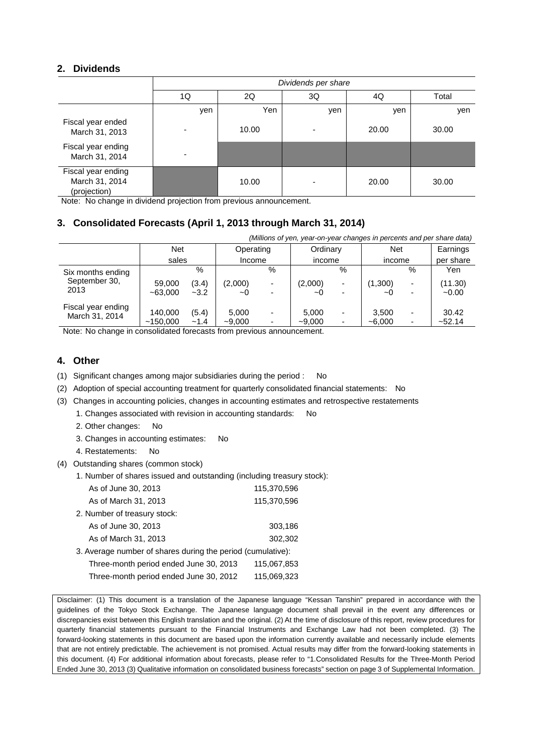## **2. Dividends**

|                                                      | Dividends per share |       |     |       |       |  |  |
|------------------------------------------------------|---------------------|-------|-----|-------|-------|--|--|
|                                                      | 1Q                  | 2Q    | 3Q  | 4Q    | Total |  |  |
|                                                      | yen                 | Yen   | yen | yen   | yen   |  |  |
| Fiscal year ended<br>March 31, 2013                  |                     | 10.00 |     | 20.00 | 30.00 |  |  |
| Fiscal year ending<br>March 31, 2014                 |                     |       |     |       |       |  |  |
| Fiscal year ending<br>March 31, 2014<br>(projection) |                     | 10.00 | -   | 20.00 | 30.00 |  |  |

Note: No change in dividend projection from previous announcement.

## **3. Consolidated Forecasts (April 1, 2013 through March 31, 2014)**

| (Millions of yen, year-on-year changes in percents and per share data) |                     |                 |                     |                               |                   |                               |                       |                               |                    |
|------------------------------------------------------------------------|---------------------|-----------------|---------------------|-------------------------------|-------------------|-------------------------------|-----------------------|-------------------------------|--------------------|
|                                                                        | <b>Net</b>          |                 | Operating           |                               | Ordinary          |                               | <b>Net</b>            |                               | Earnings           |
|                                                                        | sales               |                 | Income              |                               | income            |                               | income                |                               | per share          |
| Six months ending                                                      |                     | %               |                     | %                             |                   | $\%$                          |                       | %                             | Yen                |
| September 30,<br>2013                                                  | 59,000<br>$-63,000$ | (3.4)<br>$-3.2$ | (2,000)<br>$\sim$ O | $\overline{\phantom{0}}$<br>- | (2,000)<br>~0     | -<br>$\overline{\phantom{0}}$ | (1,300)<br>$\sim$ $($ | $\overline{\phantom{0}}$<br>- | (11.30)<br>$-0.00$ |
| Fiscal year ending<br>March 31, 2014                                   | 140,000<br>~150,000 | (5.4)<br>$-1.4$ | 5.000<br>$-9,000$   | $\overline{\phantom{0}}$      | 5,000<br>$-9,000$ | -                             | 3.500<br>$-6,000$     | -<br>۰                        | 30.42<br>~52.14    |

Note: No change in consolidated forecasts from previous announcement.

#### **4. Other**

- (1) Significant changes among major subsidiaries during the period : No
- (2) Adoption of special accounting treatment for quarterly consolidated financial statements: No
- (3) Changes in accounting policies, changes in accounting estimates and retrospective restatements
	- 1. Changes associated with revision in accounting standards: No
	- 2. Other changes: No
	- 3. Changes in accounting estimates: No
	- 4. Restatements: No
- (4) Outstanding shares (common stock)
	- 1. Number of shares issued and outstanding (including treasury stock):

| As of June 30, 2013                                         | 115,370,596 |
|-------------------------------------------------------------|-------------|
| As of March 31, 2013                                        | 115,370,596 |
| 2. Number of treasury stock:                                |             |
| As of June 30, 2013                                         | 303,186     |
| As of March 31, 2013                                        | 302,302     |
| 3. Average number of shares during the period (cumulative): |             |
| Three-month period ended June 30, 2013                      | 115,067,853 |
| Three-month period ended June 30, 2012                      | 115,069,323 |
|                                                             |             |

Disclaimer: (1) This document is a translation of the Japanese language "Kessan Tanshin" prepared in accordance with the guidelines of the Tokyo Stock Exchange. The Japanese language document shall prevail in the event any differences or discrepancies exist between this English translation and the original. (2) At the time of disclosure of this report, review procedures for quarterly financial statements pursuant to the Financial Instruments and Exchange Law had not been completed. (3) The forward-looking statements in this document are based upon the information currently available and necessarily include elements that are not entirely predictable. The achievement is not promised. Actual results may differ from the forward-looking statements in this document. (4) For additional information about forecasts, please refer to "1.Consolidated Results for the Three-Month Period Ended June 30, 2013 (3) Qualitative information on consolidated business forecasts" section on page 3 of Supplemental Information.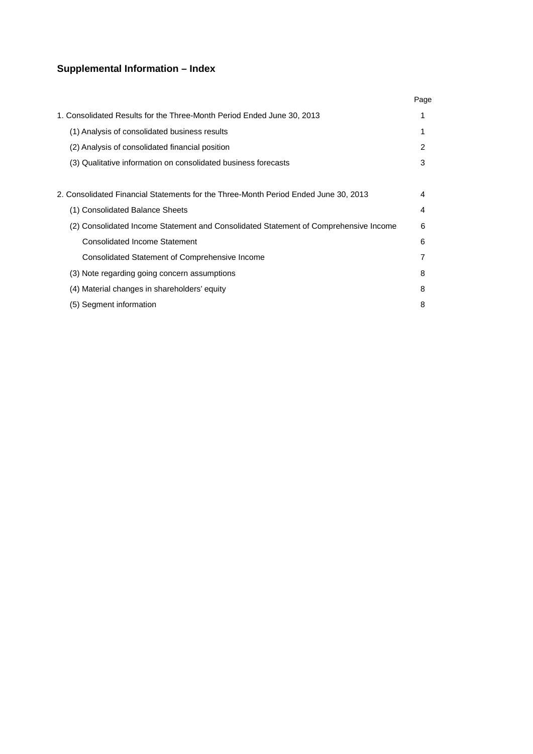## **Supplemental Information – Index**

|                                                                                      | Page |
|--------------------------------------------------------------------------------------|------|
| 1. Consolidated Results for the Three-Month Period Ended June 30, 2013               | 1    |
| (1) Analysis of consolidated business results                                        |      |
| (2) Analysis of consolidated financial position                                      | 2    |
| (3) Qualitative information on consolidated business forecasts                       | 3    |
|                                                                                      |      |
| 2. Consolidated Financial Statements for the Three-Month Period Ended June 30, 2013  | 4    |
| (1) Consolidated Balance Sheets                                                      | 4    |
| (2) Consolidated Income Statement and Consolidated Statement of Comprehensive Income | 6    |
| <b>Consolidated Income Statement</b>                                                 | 6    |
| Consolidated Statement of Comprehensive Income                                       | 7    |
| (3) Note regarding going concern assumptions                                         | 8    |
| (4) Material changes in shareholders' equity                                         | 8    |
| (5) Segment information                                                              | 8    |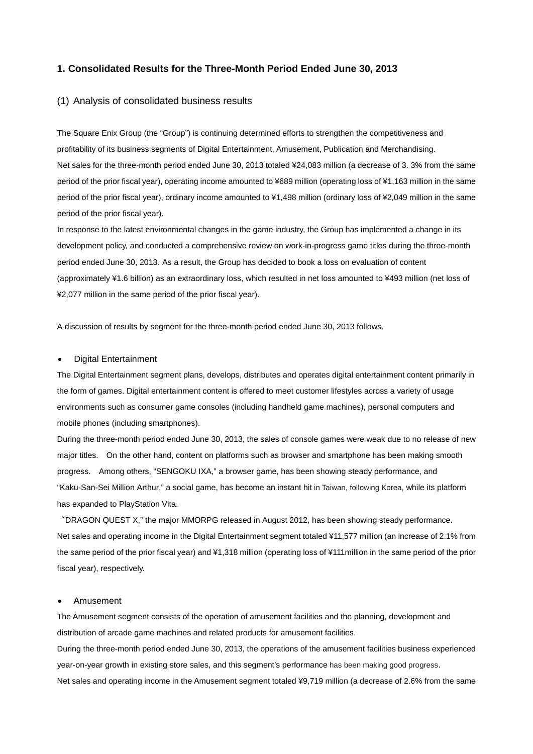#### **1. Consolidated Results for the Three-Month Period Ended June 30, 2013**

#### (1) Analysis of consolidated business results

The Square Enix Group (the "Group") is continuing determined efforts to strengthen the competitiveness and profitability of its business segments of Digital Entertainment, Amusement, Publication and Merchandising. Net sales for the three-month period ended June 30, 2013 totaled ¥24,083 million (a decrease of 3. 3% from the same period of the prior fiscal year), operating income amounted to ¥689 million (operating loss of ¥1,163 million in the same period of the prior fiscal year), ordinary income amounted to ¥1,498 million (ordinary loss of ¥2,049 million in the same period of the prior fiscal year).

In response to the latest environmental changes in the game industry, the Group has implemented a change in its development policy, and conducted a comprehensive review on work-in-progress game titles during the three-month period ended June 30, 2013. As a result, the Group has decided to book a loss on evaluation of content (approximately ¥1.6 billion) as an extraordinary loss, which resulted in net loss amounted to ¥493 million (net loss of ¥2,077 million in the same period of the prior fiscal year).

A discussion of results by segment for the three-month period ended June 30, 2013 follows.

#### • Digital Entertainment

The Digital Entertainment segment plans, develops, distributes and operates digital entertainment content primarily in the form of games. Digital entertainment content is offered to meet customer lifestyles across a variety of usage environments such as consumer game consoles (including handheld game machines), personal computers and mobile phones (including smartphones).

During the three-month period ended June 30, 2013, the sales of console games were weak due to no release of new major titles. On the other hand, content on platforms such as browser and smartphone has been making smooth progress. Among others, "SENGOKU IXA," a browser game, has been showing steady performance, and "Kaku-San-Sei Million Arthur," a social game, has become an instant hit in Taiwan, following Korea, while its platform has expanded to PlayStation Vita.

"DRAGON QUEST X," the major MMORPG released in August 2012, has been showing steady performance. Net sales and operating income in the Digital Entertainment segment totaled ¥11,577 million (an increase of 2.1% from the same period of the prior fiscal year) and ¥1,318 million (operating loss of ¥111million in the same period of the prior fiscal year), respectively.

#### • Amusement

The Amusement segment consists of the operation of amusement facilities and the planning, development and distribution of arcade game machines and related products for amusement facilities.

During the three-month period ended June 30, 2013, the operations of the amusement facilities business experienced year-on-year growth in existing store sales, and this segment's performance has been making good progress. Net sales and operating income in the Amusement segment totaled ¥9,719 million (a decrease of 2.6% from the same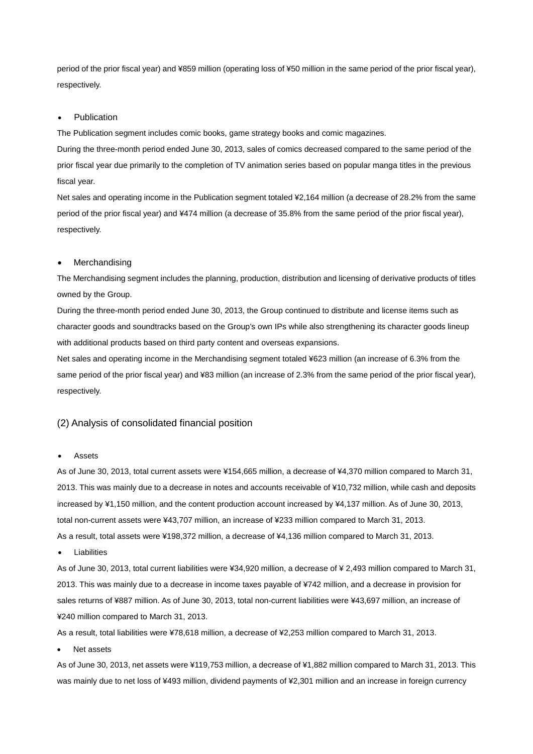period of the prior fiscal year) and ¥859 million (operating loss of ¥50 million in the same period of the prior fiscal year), respectively.

#### **Publication**

The Publication segment includes comic books, game strategy books and comic magazines.

During the three-month period ended June 30, 2013, sales of comics decreased compared to the same period of the prior fiscal year due primarily to the completion of TV animation series based on popular manga titles in the previous fiscal year.

Net sales and operating income in the Publication segment totaled ¥2,164 million (a decrease of 28.2% from the same period of the prior fiscal year) and ¥474 million (a decrease of 35.8% from the same period of the prior fiscal year), respectively.

#### **Merchandising**

The Merchandising segment includes the planning, production, distribution and licensing of derivative products of titles owned by the Group.

During the three-month period ended June 30, 2013, the Group continued to distribute and license items such as character goods and soundtracks based on the Group's own IPs while also strengthening its character goods lineup with additional products based on third party content and overseas expansions.

Net sales and operating income in the Merchandising segment totaled ¥623 million (an increase of 6.3% from the same period of the prior fiscal year) and ¥83 million (an increase of 2.3% from the same period of the prior fiscal year), respectively.

#### (2) Analysis of consolidated financial position

#### **Assets**

As of June 30, 2013, total current assets were ¥154,665 million, a decrease of ¥4,370 million compared to March 31, 2013. This was mainly due to a decrease in notes and accounts receivable of ¥10,732 million, while cash and deposits increased by ¥1,150 million, and the content production account increased by ¥4,137 million. As of June 30, 2013, total non-current assets were ¥43,707 million, an increase of ¥233 million compared to March 31, 2013. As a result, total assets were ¥198,372 million, a decrease of ¥4,136 million compared to March 31, 2013.

**Liabilities** 

As of June 30, 2013, total current liabilities were ¥34,920 million, a decrease of ¥ 2,493 million compared to March 31, 2013. This was mainly due to a decrease in income taxes payable of ¥742 million, and a decrease in provision for sales returns of ¥887 million. As of June 30, 2013, total non-current liabilities were ¥43,697 million, an increase of ¥240 million compared to March 31, 2013.

As a result, total liabilities were ¥78,618 million, a decrease of ¥2,253 million compared to March 31, 2013.

Net assets

As of June 30, 2013, net assets were ¥119,753 million, a decrease of ¥1,882 million compared to March 31, 2013. This was mainly due to net loss of ¥493 million, dividend payments of ¥2,301 million and an increase in foreign currency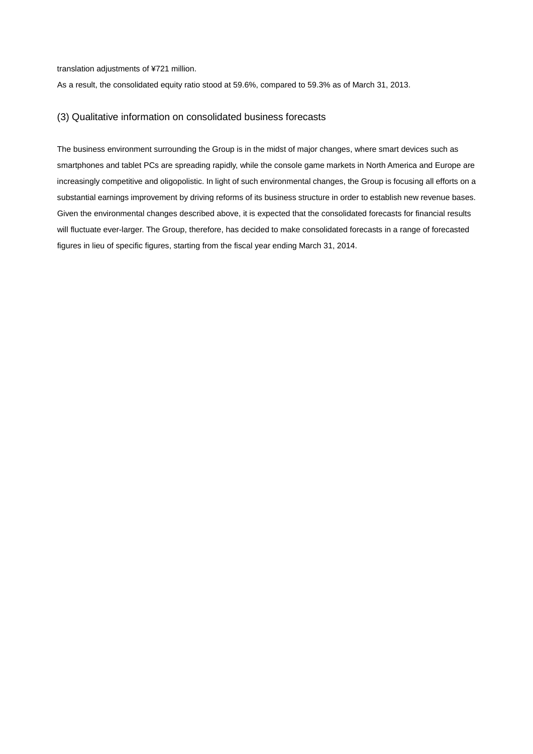translation adjustments of ¥721 million.

As a result, the consolidated equity ratio stood at 59.6%, compared to 59.3% as of March 31, 2013.

#### (3) Qualitative information on consolidated business forecasts

The business environment surrounding the Group is in the midst of major changes, where smart devices such as smartphones and tablet PCs are spreading rapidly, while the console game markets in North America and Europe are increasingly competitive and oligopolistic. In light of such environmental changes, the Group is focusing all efforts on a substantial earnings improvement by driving reforms of its business structure in order to establish new revenue bases. Given the environmental changes described above, it is expected that the consolidated forecasts for financial results will fluctuate ever-larger. The Group, therefore, has decided to make consolidated forecasts in a range of forecasted figures in lieu of specific figures, starting from the fiscal year ending March 31, 2014.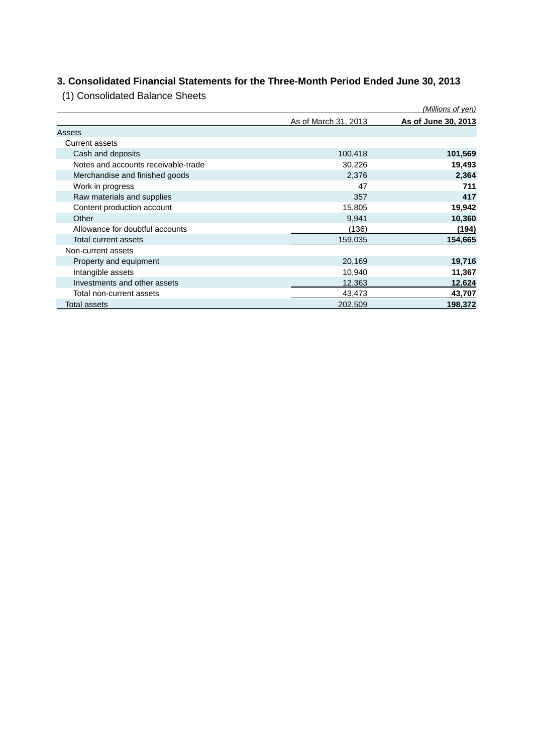## **3. Consolidated Financial Statements for the Three-Month Period Ended June 30, 2013**

(1) Consolidated Balance Sheets

|                                     |                      | <u>(Millions of yen)</u> |
|-------------------------------------|----------------------|--------------------------|
|                                     | As of March 31, 2013 | As of June 30, 2013      |
| Assets                              |                      |                          |
| <b>Current assets</b>               |                      |                          |
| Cash and deposits                   | 100,418              | 101,569                  |
| Notes and accounts receivable-trade | 30,226               | 19,493                   |
| Merchandise and finished goods      | 2,376                | 2,364                    |
| Work in progress                    | 47                   | 711                      |
| Raw materials and supplies          | 357                  | 417                      |
| Content production account          | 15,805               | 19,942                   |
| Other                               | 9,941                | 10,360                   |
| Allowance for doubtful accounts     | (136)                | (194)                    |
| Total current assets                | 159,035              | 154,665                  |
| Non-current assets                  |                      |                          |
| Property and equipment              | 20,169               | 19,716                   |
| Intangible assets                   | 10,940               | 11,367                   |
| Investments and other assets        | 12,363               | 12,624                   |
| Total non-current assets            | 43,473               | 43,707                   |
| Total assets                        | 202,509              | 198,372                  |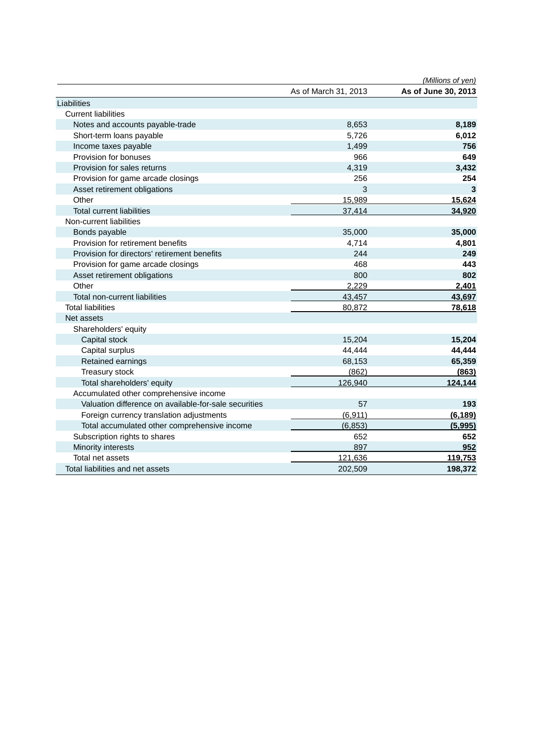|                                                       | As of March 31, 2013 | (Millions of yen)<br>As of June 30, 2013 |
|-------------------------------------------------------|----------------------|------------------------------------------|
| Liabilities                                           |                      |                                          |
| <b>Current liabilities</b>                            |                      |                                          |
|                                                       | 8,653                | 8,189                                    |
| Notes and accounts payable-trade                      |                      |                                          |
| Short-term loans payable                              | 5,726                | 6,012                                    |
| Income taxes payable                                  | 1,499                | 756                                      |
| Provision for bonuses                                 | 966                  | 649                                      |
| Provision for sales returns                           | 4,319                | 3,432                                    |
| Provision for game arcade closings                    | 256                  | 254                                      |
| Asset retirement obligations                          | 3                    | 3                                        |
| Other                                                 | 15,989               | 15,624                                   |
| <b>Total current liabilities</b>                      | 37,414               | 34,920                                   |
| Non-current liabilities                               |                      |                                          |
| Bonds payable                                         | 35,000               | 35,000                                   |
| Provision for retirement benefits                     | 4,714                | 4,801                                    |
| Provision for directors' retirement benefits          | 244                  | 249                                      |
| Provision for game arcade closings                    | 468                  | 443                                      |
| Asset retirement obligations                          | 800                  | 802                                      |
| Other                                                 | 2,229                | 2,401                                    |
| Total non-current liabilities                         | 43,457               | 43,697                                   |
| <b>Total liabilities</b>                              | 80,872               | 78,618                                   |
| Net assets                                            |                      |                                          |
| Shareholders' equity                                  |                      |                                          |
| Capital stock                                         | 15,204               | 15,204                                   |
| Capital surplus                                       | 44,444               | 44,444                                   |
| Retained earnings                                     | 68,153               | 65,359                                   |
| Treasury stock                                        | (862)                | (863)                                    |
| Total shareholders' equity                            | 126,940              | 124,144                                  |
| Accumulated other comprehensive income                |                      |                                          |
| Valuation difference on available-for-sale securities | 57                   | 193                                      |
| Foreign currency translation adjustments              | (6, 911)             | (6, 189)                                 |
| Total accumulated other comprehensive income          | (6, 853)             | (5,995)                                  |
| Subscription rights to shares                         | 652                  | 652                                      |
| Minority interests                                    | 897                  | 952                                      |
| Total net assets                                      | 121,636              | 119,753                                  |
| Total liabilities and net assets                      | 202,509              | 198,372                                  |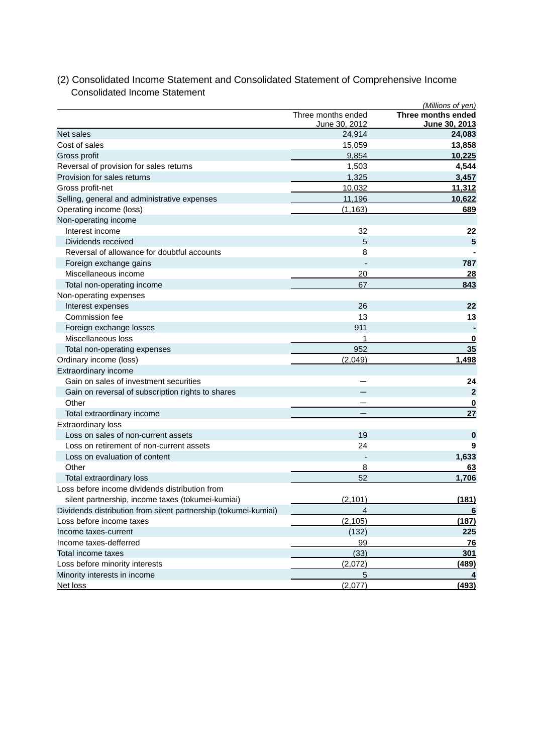|                                                                 |                                     | (Millions of yen)                   |
|-----------------------------------------------------------------|-------------------------------------|-------------------------------------|
|                                                                 | Three months ended<br>June 30, 2012 | Three months ended<br>June 30, 2013 |
| Net sales                                                       | 24,914                              | 24,083                              |
| Cost of sales                                                   | 15,059                              | 13,858                              |
| Gross profit                                                    | 9,854                               | 10,225                              |
| Reversal of provision for sales returns                         | 1,503                               | 4,544                               |
| Provision for sales returns                                     | 1,325                               | 3,457                               |
| Gross profit-net                                                | 10,032                              | 11,312                              |
| Selling, general and administrative expenses                    | 11,196                              | 10,622                              |
| Operating income (loss)                                         | (1, 163)                            | 689                                 |
| Non-operating income                                            |                                     |                                     |
| Interest income                                                 | 32                                  | 22                                  |
| Dividends received                                              | 5                                   | 5                                   |
| Reversal of allowance for doubtful accounts                     | 8                                   |                                     |
| Foreign exchange gains                                          |                                     | 787                                 |
| Miscellaneous income                                            | 20                                  | <u>28</u>                           |
| Total non-operating income                                      | 67                                  | 843                                 |
| Non-operating expenses                                          |                                     |                                     |
| Interest expenses                                               | 26                                  | 22                                  |
| Commission fee                                                  | 13                                  | 13                                  |
| Foreign exchange losses                                         | 911                                 |                                     |
| Miscellaneous loss                                              |                                     | $\bf{0}$                            |
| Total non-operating expenses                                    | 952                                 | 35                                  |
| Ordinary income (loss)                                          | (2,049)                             | 1,498                               |
| Extraordinary income                                            |                                     |                                     |
| Gain on sales of investment securities                          |                                     | 24                                  |
| Gain on reversal of subscription rights to shares               |                                     | $\mathbf{2}$                        |
| Other                                                           |                                     | 0                                   |
| Total extraordinary income                                      |                                     | 27                                  |
| <b>Extraordinary loss</b>                                       |                                     |                                     |
| Loss on sales of non-current assets                             | 19                                  | 0                                   |
| Loss on retirement of non-current assets                        | 24                                  | 9                                   |
| Loss on evaluation of content                                   |                                     | 1,633                               |
| Other                                                           | 8                                   | 63                                  |
| Total extraordinary loss                                        | 52                                  | 1,706                               |
| Loss before income dividends distribution from                  |                                     |                                     |
| silent partnership, income taxes (tokumei-kumiai)               | (2,101)                             | (181)                               |
| Dividends distribution from silent partnership (tokumei-kumiai) | 4                                   | 6                                   |
| Loss before income taxes                                        | (2, 105)                            | (187)                               |
| Income taxes-current                                            | (132)                               | 225                                 |
| Income taxes-defferred                                          | 99                                  | <b>76</b>                           |
| Total income taxes                                              | (33)                                | 301                                 |
| Loss before minority interests                                  | (2,072)                             | <u>(489)</u>                        |
| Minority interests in income                                    | 5                                   | 4                                   |
| Net loss                                                        | (2,077)                             | (493)                               |

## (2) Consolidated Income Statement and Consolidated Statement of Comprehensive Income Consolidated Income Statement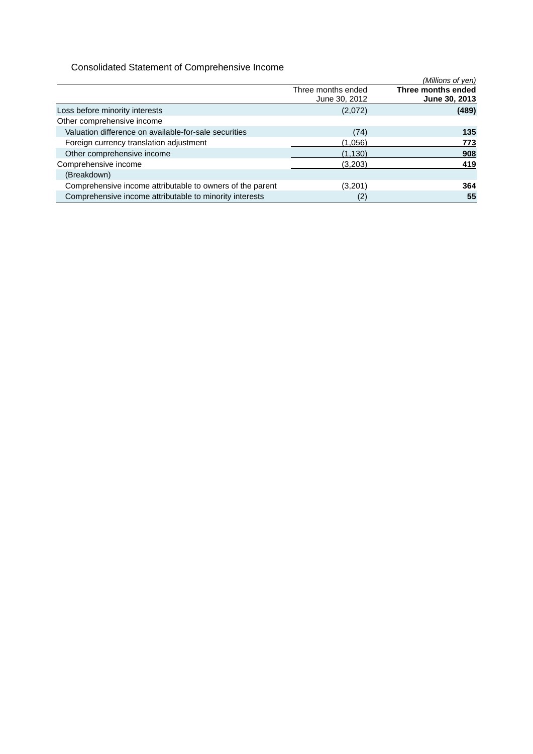## Consolidated Statement of Comprehensive Income

|                                                           |                                     | (Millions of yen)                   |
|-----------------------------------------------------------|-------------------------------------|-------------------------------------|
|                                                           | Three months ended<br>June 30, 2012 | Three months ended<br>June 30, 2013 |
| Loss before minority interests                            | (2,072)                             | (489)                               |
| Other comprehensive income                                |                                     |                                     |
| Valuation difference on available-for-sale securities     | (74)                                | 135                                 |
| Foreign currency translation adjustment                   | (1,056)                             | 773                                 |
| Other comprehensive income                                | (1, 130)                            | 908                                 |
| Comprehensive income                                      | (3,203)                             | 419                                 |
| (Breakdown)                                               |                                     |                                     |
| Comprehensive income attributable to owners of the parent | (3,201)                             | 364                                 |
| Comprehensive income attributable to minority interests   | (2)                                 | 55                                  |